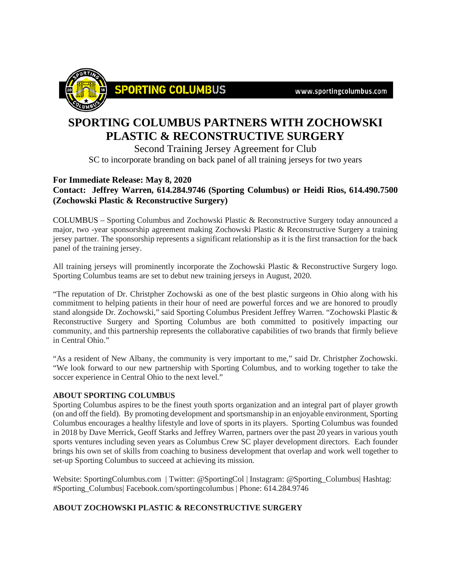www.sportingcolumbus.com



## **SPORTING COLUMBUS PARTNERS WITH ZOCHOWSKI PLASTIC & RECONSTRUCTIVE SURGERY**

Second Training Jersey Agreement for Club SC to incorporate branding on back panel of all training jerseys for two years

## **For Immediate Release: May 8, 2020**

**Contact: Jeffrey Warren, 614.284.9746 (Sporting Columbus) or Heidi Rios, 614.490.7500 (Zochowski Plastic & Reconstructive Surgery)**

COLUMBUS – Sporting Columbus and Zochowski Plastic & Reconstructive Surgery today announced a major, two -year sponsorship agreement making Zochowski Plastic & Reconstructive Surgery a training jersey partner. The sponsorship represents a significant relationship as it is the first transaction for the back panel of the training jersey.

All training jerseys will prominently incorporate the Zochowski Plastic & Reconstructive Surgery logo. Sporting Columbus teams are set to debut new training jerseys in August, 2020.

"The reputation of Dr. Christpher Zochowski as one of the best plastic surgeons in Ohio along with his commitment to helping patients in their hour of need are powerful forces and we are honored to proudly stand alongside Dr. Zochowski," said Sporting Columbus President Jeffrey Warren. "Zochowski Plastic & Reconstructive Surgery and Sporting Columbus are both committed to positively impacting our community, and this partnership represents the collaborative capabilities of two brands that firmly believe in Central Ohio."

"As a resident of New Albany, the community is very important to me," said Dr. Christpher Zochowski. "We look forward to our new partnership with Sporting Columbus, and to working together to take the soccer experience in Central Ohio to the next level."

## **ABOUT SPORTING COLUMBUS**

Sporting Columbus aspires to be the finest youth sports organization and an integral part of player growth (on and off the field). By promoting development and sportsmanship in an enjoyable environment, Sporting Columbus encourages a healthy lifestyle and love of sports in its players. Sporting Columbus was founded in 2018 by Dave Merrick, Geoff Starks and Jeffrey Warren, partners over the past 20 years in various youth sports ventures including seven years as Columbus Crew SC player development directors. Each founder brings his own set of skills from coaching to business development that overlap and work well together to set-up Sporting Columbus to succeed at achieving its mission.

Website: SportingColumbus.com | Twitter: @SportingCol | Instagram: @Sporting\_Columbus| Hashtag: #Sporting\_Columbus| Facebook.com/sportingcolumbus | Phone: 614.284.9746

## **ABOUT ZOCHOWSKI PLASTIC & RECONSTRUCTIVE SURGERY**